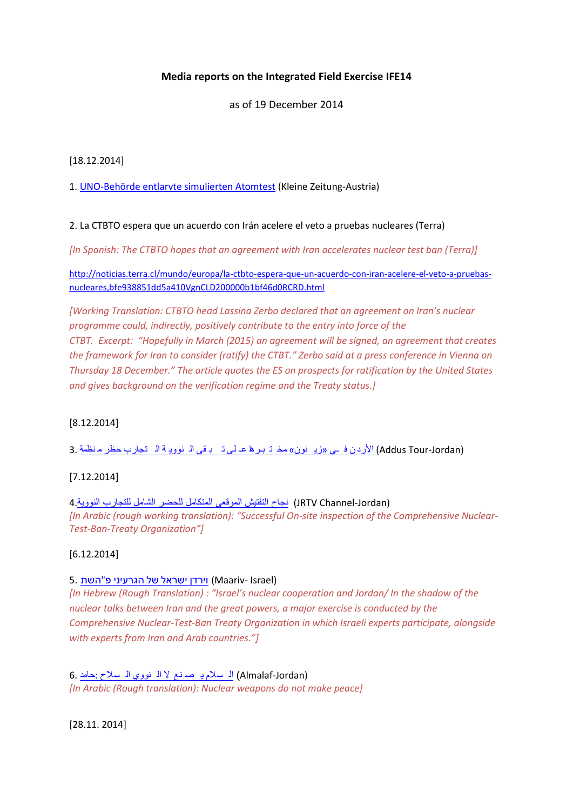# **Media reports on the Integrated Field Exercise IFE14**

as of 19 December 2014

[18.12.2014]

1. [UNO-Behörde entlarvte simulierten Atomtest](http://www.kleinezeitung.at/s/politik/aussenpolitik/4622500/UNOBehorde-entlarvte-simulierten-Atomtest) (Kleine Zeitung-Austria)

## 2. La CTBTO espera que un acuerdo con Irán acelere el veto a pruebas nucleares (Terra)

*[In Spanish: The CTBTO hopes that an agreement with Iran accelerates nuclear test ban (Terra)]*

[http://noticias.terra.cl/mundo/europa/la-ctbto-espera-que-un-acuerdo-con-iran-acelere-el-veto-a-pruebas](http://noticias.terra.cl/mundo/europa/la-ctbto-espera-que-un-acuerdo-con-iran-acelere-el-veto-a-pruebas-nucleares,bfe938851dd5a410VgnCLD200000b1bf46d0RCRD.html)[nucleares,bfe938851dd5a410VgnCLD200000b1bf46d0RCRD.html](http://noticias.terra.cl/mundo/europa/la-ctbto-espera-que-un-acuerdo-con-iran-acelere-el-veto-a-pruebas-nucleares,bfe938851dd5a410VgnCLD200000b1bf46d0RCRD.html)

*[Working Translation: CTBTO head Lassina Zerbo declared that an agreement on Iran's nuclear programme could, indirectly, positively contribute to the entry into force of the CTBT. Excerpt: "Hopefully in March (2015) an agreement will be signed, an agreement that creates the framework for Iran to consider (ratify) the CTBT." Zerbo said at a press conference in Vienna on Thursday 18 December." The article quotes the ES on prospects for ratification by the United States and gives background on the verification regime and the Treaty status.]*

# [8.12.2014]

(Addus Tour-Jordan) الأردن في «زي نون» مخ تـ بـرها عـ لى تـ بـ قي الـ نوويـ ة الـ [تجارب](http://www.addustour.com/17423/%D9%85%D9%86%D8%B8%D9%85%D8%A9+%D8%AD%D8%B8%D8%B1+%D8%A7%D9%84%D8%AA%D8%AC%D8%A7%D8%B1%D8%A8+%D8%A7%D9%84%D9%86%D9%88%D9%88%D9%8A%D8%A9+%D8%AA%D8%A8%D9%82%D9%8A+%D8%B9%D9%80%D9%84%D9%89+%D9%85%D8%AE%D8%AA%D8%A8%D9%80%D8%B1%D9%87%D8%A7+%C2%AB%D8%B2%D9%8A%D9%86%D9%88%D9%86%C2%BB+%D9%81%D9%80%D9%8A+%D8%A7%D9%84%D8%A3%D8%B1%D8%AF%D9%86.html) حظر م نظمة 3.

# [7.12.2014]

(JRTV Channel-Jordan) [نجاح التفتيش الموقعي المتكامل للحضر الشامل للتجارب النووية](https://www.youtube.com/watch?v=FZx4VTeHWDI&feature=youtu.be) 4. *[In Arabic (rough working translation): "Successful On-site inspection of the Comprehensive Nuclear-Test-Ban-Treaty Organization"]*

# [6.12.2014]

### 5. יורדן ישראל של [הגרעיני](http://www.maariv.co.il/%D7%94%D7%A0%D7%91%D7%97%D7%A8%D7%AA/%D7%94%D7%A0%D7%91%D7%97%D7%A8%D7%AA-%D7%A9%D7%9C%D7%A0%D7%95/%D7%94%D7%A9%D7%AA%D7%A4-%D7%94%D7%92%D7%A8%D7%A2%D7%99%D7%A0%D7%99-%D7%A9%D7%9C-%D7%99%D7%A9%D7%A8%D7%90%D7%9C-%D7%95%D7%99%D7%A8%D7%93%D7%9F-455929) פ"השת 5.

*[In Hebrew (Rough Translation) : "Israel's nuclear cooperation and Jordan/ In the shadow of the nuclear talks between Iran and the great powers, a major exercise is conducted by the Comprehensive Nuclear-Test-Ban Treaty Organization in which Israeli experts participate, alongside with experts from Iran and Arab countries."]*

(Jordan-Almalaf (ال سالم ي ص نع ال ال نووي ال [سالح](http://www.almalaf.net/print.asp?ID=151007) :حامد 6. *[In Arabic (Rough translation): Nuclear weapons do not make peace]*

[28.11. 2014]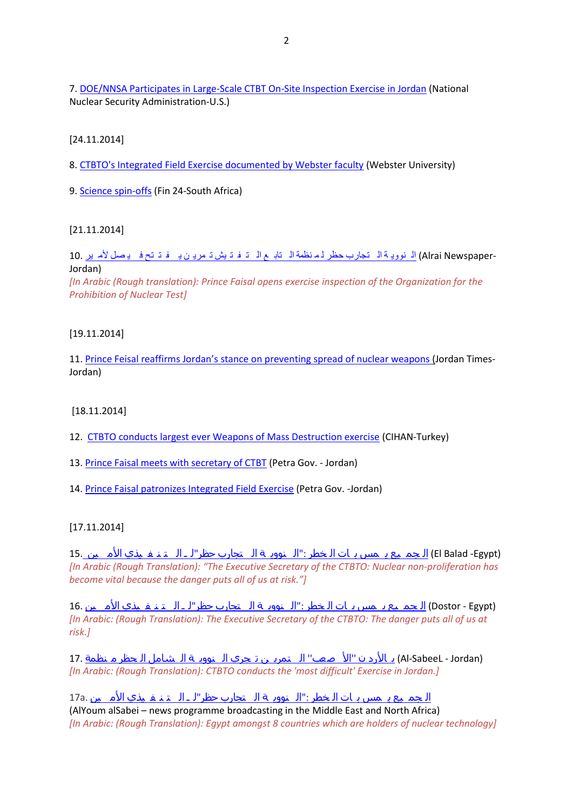7. [DOE/NNSA Participates in Large-Scale CTBT On-Site Inspection Exercise in Jordan](http://nnsa.energy.gov/blog/doennsa-participates-large-scale-ctbt-site-inspection-exercise-jordan#.VH36e9BTd1E.twitter) (National Nuclear Security Administration-U.S.)

[24.11.2014]

8. [CTBTO's Integrated Field Exercise documented by Webster faculty](http://webster.ac.at/article/ctbtos-integrated-field-exercise-documented-webster-faculty) (Webster University)

9. [Science spin-offs](http://m.news24.com/fin24/Economy/Science-spin-offs-20141124) (Fin 24-South Africa)

[21.11.2014]

-Alrai Newspaper) <u>الـ نوويـة الـ [تجارب](http://www.alrai.com/article_m/681016.html) حظر لـم نظمة الـ تابـ ع الـ تـ فـ تـ ش تـ مريـ ن يـ فـ تـ تح فـ يـ صـل لأمـ ير</u><br>Jordan)

*[In Arabic (Rough translation): Prince Faisal opens exercise inspection of the Organization for the Prohibition of Nuclear Test]*

[19.11.2014]

11. [Prince Feisal reaffirms Jordan's stance on preventing spr](http://m.jordantimes.com/article/prince-feisal-reaffirms-jordans-stance-on-preventing-spread-of-nuclear-weapons)ead of nuclear weapons (Jordan Times-[Jordan\)](http://m.jordantimes.com/article/prince-feisal-reaffirms-jordans-stance-on-preventing-spread-of-nuclear-weapons)

[18.11.2014]

- 12. [CTBTO conducts largest ever Weapons of Mass Destruction exercise](http://en.cihan.com.tr/news/CTBTO-is-conducts-largest-ever-Weapons-of-Mass-Destruction-exercise_4067-CHMTU5NDA2Ny80) (CIHAN-Turkey)
- 13. [Prince Faisal meets with secretary of CTBT](http://petra.gov.jo/Public_News/Nws_NewsDetails.aspx?lang=2&site_id=1&NewsID=172450&CatID=13) (Petra Gov. Jordan)
- 14. [Prince Faisal patronizes Integrated Field Exercise](http://www.petra.gov.jo/Public_News/Nws_NewsDetails.aspx?lang=2&site_id=1&NewsID=172435&CatID=13) (Petra Gov. -Jordan)

[17.11.2014]

 (Egypt- Balad El (ال جم يع ي مس ب ات ال خطر :"ال نووي ة ال [تجارب](http://www.el-balad.com/1249226) حظر"ل ـ ال ت ن ف يذي األم ين 15. *[In Arabic (Rough Translation): "The Executive Secretary of the CTBTO: Nuclear non-proliferation has become vital because the danger puts all of us at risk."]*

(Dostor - Egypt) ال جم يع يـ مس بـ ات الـخطر :"الــنوويـة الــ[تجارب](http://www.dostor.org/716151) حظر"لـ الــتـنـفـيذي الأمــين .16 *[In Arabic: (Rough Translation): The Executive Secretary of the CTBTO: The danger puts all of us at risk.]*

 (Jordan - SabeeL-Al (ب األرد ن ''األ صعب'' ال تمري ن ت جري ال نووي ة ال [شامل](http://www.assabeel.net/local/item/75466-%D9%85%D9%86%D8%B8%D9%85%D8%A9-%D8%A7%D9%84%D8%AD%D8%B8%D8%B1-%D8%A7%D9%84%D8%B4%D8%A7%D9%85%D9%84-%D8%A7%D9%84%D9%86%D9%88%D9%88%D9%8A%D8%A9-%D8%AA%D8%AC%D8%B1%D9%8A-%D8%A7%D9%84%D8%AA%D9%85%D8%B1%D9%8A%D9%86-%D8%A7%D9%84%D8%A3%D8%B5%D8%B9%D8%A8-%D8%A8%D8%A7%D9%84%D8%A3%D8%B1%D8%AF%D9%86) ال حظر م نظمة 17. *[In Arabic: (Rough Translation): CTBTO conducts the 'most difficult' Exercise in Jordan.]*

ال جم يع ي مس ب ات ال خطر :"ال نووي ة ال [تجارب](http://www1.youm7.com/story/2014/11/17/%D9%85%D9%86%D8%B8%D9%85%D8%A9_%D8%AD%D8%B8%D8%B1_%D8%A7%D9%84%D8%AA%D8%AC%D8%A7%D8%B1%D8%A8_%D8%A7%D9%84%D9%86%D9%88%D9%88%D9%8A%D8%A9__%D9%85%D8%B5%D8%B1_%D8%B6%D9%85%D9%86_8_%D8%AF%D9%88%D9%84_%D8%AA%D9%85%D8%AA%D9%84%D9%83_%D9%82%D8%AF%D8%B1%D8%A7%D8%AA_%D8%AA%D9%83%D9%86%D9%88%D9%84%D9%88%D8%AC/1954559#.VGsavvnF_1Z) حظر"ل ـ ال ت ن ف يذي األم ين .a17 (AlYoum alSabei – news programme broadcasting in the Middle East and North Africa) *[In Arabic: (Rough Translation): Egypt amongst 8 countries which are holders of nuclear technology]*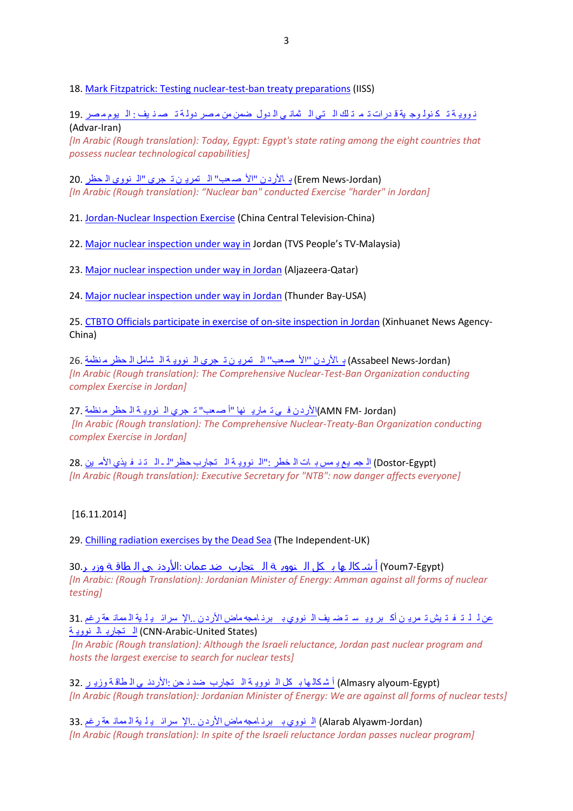18. [Mark Fitzpatrick: Testing nuclear-test-ban treaty preparations](http://www.iiss.org/en/politics%20and%20strategy/blogsections/2014-d2de/november-52fa/testing-nuclear-test-ban-treaty-preparations-8db2) (IISS)

ن ووي ة ت ك نول وج ية ق [درات](http://www.advar.net/egypt/1167.html) ت م ت لك ال تي ال ثمان ي ال دول ضمن من م صر دول ة ت ص ن يف : ال يوم م صر 19. (Advar-Iran)

*[In Arabic (Rough translation): Today, Egypt: Egypt's state rating among the eight countries that possess nuclear technological capabilities]*

(Jordan-News Erem (ب األرد ن "األ ص عب" ال تمري ن ت جري "ال [نووي](http://www.eremnews.com/?id=81044) ال حظر 20. *[In Arabic (Rough translation): "Nuclear ban" conducted Exercise "harder" in Jordan]*

21. [Jordan-Nuclear Inspection Exercise](http://newscontent.cctv.com/NewJsp/news.jsp?fileId=269432) (China Central Television-China)

22. [Major nuclear inspection under way in](http://tvsarawak.com/2014/11/18/major-nuclear-inspection-under-way-in-jordan/) Jordan (TVS People's TV-Malaysia)

23[. Major nuclear inspection under way in Jordan](http://www.aljazeera.com/video/americas/2014/11/major-nuclear-inspection-under-way-jordan-20141117103757770673.html) (Aljazeera-Qatar)

24[. Major nuclear inspection under way in Jordan](http://thunderbaylive.com/major-nuclear-inspection-under-way-in-jordan/) (Thunder Bay-USA)

25. [CTBTO Officials participate in exercise of on-site inspection in Jordan](http://news.xinhuanet.com/english/photo/2014-11/17/c_133794440.htm) (Xinhuanet News Agency-China)

(Jordan-News Assabeel (ب األرد ن ''األ [صعب](http://www.assabeel.net/local/item/75466-منظمة-الحظر-الشامل-النووية-تجري-التمرين-الأصعب-بالأردن)'' ال تمري ن ت جري ال نووي ة ال شامل ال حظر م نظمة 26. *[In Arabic (Rough translation): The Comprehensive Nuclear-Test-Ban Organization conducting complex Exercise in Jordan]*

(Jordan -FM AMN(األرد ن ف ي ت ماري نها "أ ص عب" ت [جري](http://www.alsouria.net/content/منظمة-الحظر-النووية-تجري-أصعب-تمارينها-في-الأردن) ال نووي ة ال حظر م نظمة 27. *[In Arabic (Rough translation): The Comprehensive Nuclear-Treaty-Ban Organization conducting complex Exercise in Jordan]*

(Dostor-Egypt) ال جم يع يـ مس بـ ات الـ خطر :"الـ نوويـ ة الـ [تجارب](http://www.dostor.org/716151) حظر "لـ ـ الـ تـ نـ فـ يذي الأمـ ين 28. *[In Arabic (Rough translation): Executive Secretary for "NTB": now danger affects everyone]*

#### [16.11.2014]

29. [Chilling radiation exercises by the Dead Sea](http://www.independent.co.uk/news/world/middle-east/chilling-radiation-exercises-by-the-dead-sea-9863426.html) (The Independent-UK)

(Youm7-Egypt) أ شـ كالـ ما بـ كل الـ نوويـ ة الـ [تجارب](http://www1.youm7.com/story/2014/11/16/%D9%88%D8%B2%D9%8A%D8%B1_%D8%A7%D9%84%D8%B7%D8%A7%D9%82%D8%A9_%D8%A7%D9%84%D8%A3%D8%B1%D8%AF%D9%86%D9%89__%D8%B9%D9%85%D8%A7%D9%86_%D8%B6%D8%AF_%D8%A7%D9%84%D8%AA%D8%AC%D8%A7%D8%B1%D8%A8_%D8%A7%D9%84%D9%86%D9%88%D9%88%D9%8A%D8%A9_%D8%A8%D9%83%D9%84_%D8%A3%D8%B4%D9%83%D8%A7%D9%84%D9%87%D8%A7/1953467#.VGtj_vnF_1Z) \_ضد <u>عمان :الأردن ي الـ طاقـة وزيـ ر</u>.30 *[In Arabic: (Rough Translation): Jordanian Minister of Energy: Amman against all forms of nuclear testing]*

عن ل ل ت ف ت يش ت مري ن أك بر وي س ت ض يف ال [نووي](http://arabic.cnn.com/middleeast/2014/11/16/jordan-nuclear-plans?hpt=continous) ب برن امجه ماض األرد ن ..اإل سرائ ي ل ية ال ممان عة رغم 31. (CNN-Arabic-United States) ال [تجارب](http://arabic.cnn.com/middleeast/2014/11/16/jordan-nuclear-plans?hpt=continous) ال نووية

*[In Arabic (Rough translation): Although the Israeli reluctance, Jordan past nuclear program and hosts the largest exercise to search for nuclear tests]*

(Egypt-alyoum Almasry (أ ش كالها ب كل ال نووي ة ال [تجارب](http://www.almasryalyoum.com/news/details/573684) ضد ن حن :األردن ي ال طاق ة وزي ر 32. *[In Arabic (Rough translation): Jordanian Minister of Energy: We are against all forms of nuclear tests]*

(Jordan-Alyawm Alarab (ال [نووي](http://alarabalyawm.net/?p=404249) ب برن امجه ماض األرد ن ..اإل سرائ ي ل ية ال ممان عة رغم 33. *[In Arabic (Rough translation): In spite of the Israeli reluctance Jordan passes nuclear program]*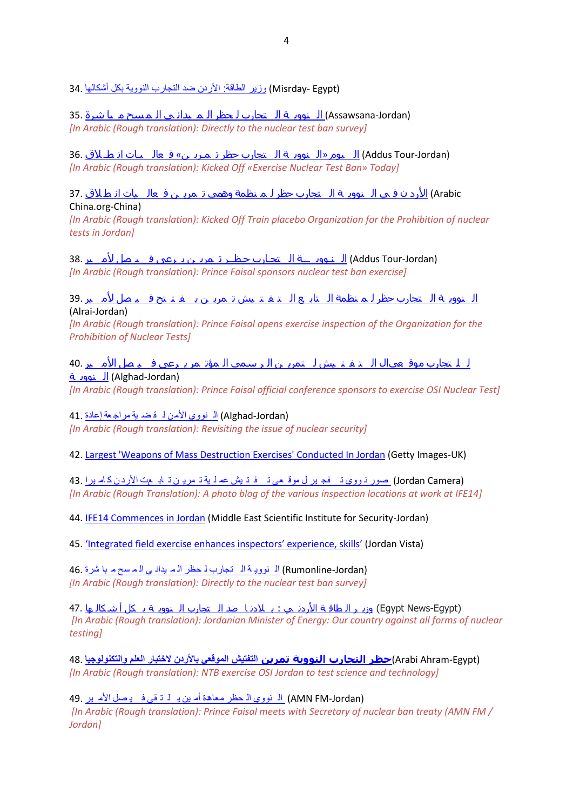(Egypt -Misrday ([وزير الطاقة: األردن ضد التجارب النووية بكل أشكالها](http://www.misrday.com/Arabs-world/1705909.html) 34.

(Assawsana-Jordan) ال نوور ة ال اتجارب ل حظر الله لبداني الله سبح م لما شرة 35. *[In Arabic (Rough translation): Directly to the nuclear test ban survey]*

(Jordan-Tour Addus (ال يوم «ال نووي ة ال [تجارب](http://www.addustour.com/17400/%D8%A7%D9%86%D8%B7%D9%80%D9%84%D8%A7%D9%82+%D9%81%D8%B9%D8%A7%D9%84%D9%8A%D9%80%D8%A7%D8%AA+%C2%AB%D8%AA%D9%85%D9%80%D8%B1%D9%8A%D9%86+%D8%AD%D8%B8%D8%B1+%D8%A7%D9%84%D8%AA%D8%AC%D8%A7%D8%B1%D8%A8+%D8%A7%D9%84%D9%86%D9%88%D9%88%D9%8A%D8%A9%C2%BB+%D8%A7%D9%84%D9%8A%D9%88%D9%85.html) حظر ت مـري ن» ف عال يـات ان طـ الق 36. *[In Arabic (Rough translation): Kicked Off «Exercise Nuclear Test Ban» Today]*

 Arabic (األرد ن ف ي ال نووي ة ال [تجارب](http://arabic.china.org.cn/txt/2014-11/16/content_34062158.htm) حظر ل م نظمة وهمي ت مري ن ف عال يات ان ط الق 37. China.org-China)

*[In Arabic (Rough translation): Kicked Off Train placebo Organization for the Prohibition of nuclear tests in Jordan]*

(Addus Tour-Jordan) <u>الـنـوويا ــة الـ[تجـارب](https://www.addustour.com/17401/%D8%A7%D9%84%D8%A3%D9%85%D9%8A%D8%B1+%D9%81%D9%8A%D8%B5%D9%84+%D9%8A%D8%B1%D8%B9%D9%89+%C2%AB%D8%AA%D9%85%D8%B1%D9%8A%D9%86+%D8%AD%D9%80%D8%B8%D9%80%D9%80%D8%B1+%D8%A7%D9%84%D8%AA%D8%AC%D9%80%D8%A7%D8%B1%D8%A8+%D8%A7%D9%84%D9%86%D9%80%D9%88%D9%88%D9%8A%D9%80%D9%80%D9%80%D8%A9%C2%BB.html) حـظــر تـمريـن يـرعى فــيـصل لأمــير</u> .38 *[In Arabic (Rough translation): Prince Faisal sponsors nuclear test ban exercise]*

ال نووي ة ال [تجارب](http://www.alrai.com/article/681016.html) حظر ل م نظمة ال تاب ع ال ت ف ت يش ت مري ن ي ف ت تح ف ي صل ألم ير 39. (Alrai-Jordan)

*[In Arabic (Rough translation): Prince Faisal opens exercise inspection of the Organization for the Prohibition of Nuclear Tests]*

ل ل تجارب موق عيال ال ت ف ت يش ل تمري ن ال ر [سمي](http://www.alghad.com/articles/836653-%D8%A7%D9%84%D8%A3%D9%85%D9%8A%D8%B1-%D9%81%D9%8A%D8%B5%D9%84-%D9%8A%D8%B1%D8%B9%D9%89-%D8%A7%D9%84%D9%85%D8%A4%D8%AA%D9%85%D8%B1-%D8%A7%D9%84%D8%B1%D8%B3%D9%85%D9%8A-%D9%84%D8%AA%D9%85%D8%B1%D9%8A%D9%86-%D8%A7%D9%84%D8%AA%D9%81%D8%AA%D9%8A%D8%B4-%D8%A7%D9%84%D9%85%D9%88%D9%82%D8%B9%D9%8A-%D9%84%D9%84%D8%AA%D8%AC%D8%A7%D8%B1%D8%A8-%D8%A7%D9%84%D9%86%D9%88%D9%88%D9%8A%D8%A9?s=bcb71abcd8500ba9a92deaf21b729410) ال مؤت مر ي رعى ف ي صل األم ير 40. (Jordan-Alghad (ال [نووي](http://www.alghad.com/articles/836653-%D8%A7%D9%84%D8%A3%D9%85%D9%8A%D8%B1-%D9%81%D9%8A%D8%B5%D9%84-%D9%8A%D8%B1%D8%B9%D9%89-%D8%A7%D9%84%D9%85%D8%A4%D8%AA%D9%85%D8%B1-%D8%A7%D9%84%D8%B1%D8%B3%D9%85%D9%8A-%D9%84%D8%AA%D9%85%D8%B1%D9%8A%D9%86-%D8%A7%D9%84%D8%AA%D9%81%D8%AA%D9%8A%D8%B4-%D8%A7%D9%84%D9%85%D9%88%D9%82%D8%B9%D9%8A-%D9%84%D9%84%D8%AA%D8%AC%D8%A7%D8%B1%D8%A8-%D8%A7%D9%84%D9%86%D9%88%D9%88%D9%8A%D8%A9?s=bcb71abcd8500ba9a92deaf21b729410) ة

*[In Arabic (Rough translation): Prince Faisal official conference sponsors to exercise OSI Nuclear Test]*

(Jordan-Alghad (ال نووي [األمن](http://www.alghad.com/articles/836656-%D8%A5%D8%B9%D8%A7%D8%AF%D8%A9-%D9%85%D8%B1%D8%A7%D8%AC%D8%B9%D8%A9-%D9%84%D9%82%D8%B6%D9%8A%D8%A9-%D8%A7%D9%84%D8%A3%D9%85%D9%86-%D8%A7%D9%84%D9%86%D9%88%D9%88%D9%8A) ل ق ض ية مراج عة إعادة 41. *[In Arabic (Rough translation): Revisiting the issue of nuclear security]*

42. [Largest 'Weapons of Mass Destruction Exercises' Conducted In Jordan](http://www.gettyimages.co.uk/detail/news-photo/team-of-scientists-take-part-in-gathering-evidence-of-a-news-photo/459073648) (Getty Images-UK)

(Jordan Camera) [صور](http://www.jordancamera.com/%D9%83%D8%A7%D9%85%D9%8A%D8%B1%D8%A7-%D8%A7%D9%84%D8%A3%D8%B1%D8%AF%D9%86-%D8%AA%D8%AA%D8%A7%D8%A8%D8%B9-%D8%AA%D9%85%D8%B1%D9%8A%D9%86-%D8%B9%D9%85%D9%84%D9%8A%D8%A9-%D8%AA%D9%81%D8%AA%D9%8A%D8%B4/) ذ ووي تـ فج ير ل موق عي تـ ف ت يش عم ل ية تـ مريـ ن تـ ابـ عت الأردن كـ امـ يرا 43. *[In Arabic (Rough Translation): A photo blog of the various inspection locations at work at IFE14]*

44. [IFE14 Commences in Jordan](http://www.mesis.jo/news/320) (Middle East Scientific Institute for Security-Jordan)

45. ['Integrated field exercise enhances inspectors' experience, skills'](http://vista.sahafi.jo/art.php?id=bdb11f62b885446df820918b5c9314fc3deeff57) (Jordan Vista)

(Rumonline-Jordan) ال نووية ال [تجارب](http://www.rumonline.net/index.php?page=article&id=184834) لـ حظر الله يداني الله سح م با شرة 46. *[In Arabic (Rough translation): Directly to the nuclear test ban survey]*

(Egypt-News Egypt (وزي ر ال طاق ة األردن ي : ب الدن ا ضد ال [تجارب](http://www.egynews.net/وزير-الطاقة-الأردني-ل-أ-ش-أ-الأردن-ضد-ال/) ال نووي ة ب كل أ ش كال ها 47. *[In Arabic (Rough translation): Jordanian Minister of Energy: Our country against all forms of nuclear testing]*

(Egypt-Ahram Arabi(**حظر التجارب النووية تمرين [التفتيش الموقعي باألردن الختبار العلم والتكنولوجيا](http://arabi.ahram.org.eg/NewsContent/16/57249/صحة-وعلوم/حظر-التجارب-النووية--تمرين-التفتيش-الموقعي-بالأردن-لاختبار-العلم-والتكنولوجيا.aspx)** 48. *[In Arabic (Rough translation): NTB exercise OSI Jordan to test science and technology]*

(Jordan-FM AMN (ال نووي ال حظر [معاهدة](http://amenfm.jo/jonews/new/14381.html) أم ين ي ل ت قي ف ي صل األم ير 49. *[In Arabic (Rough translation): Prince Faisal meets with Secretary of nuclear ban treaty (AMN FM / Jordan]*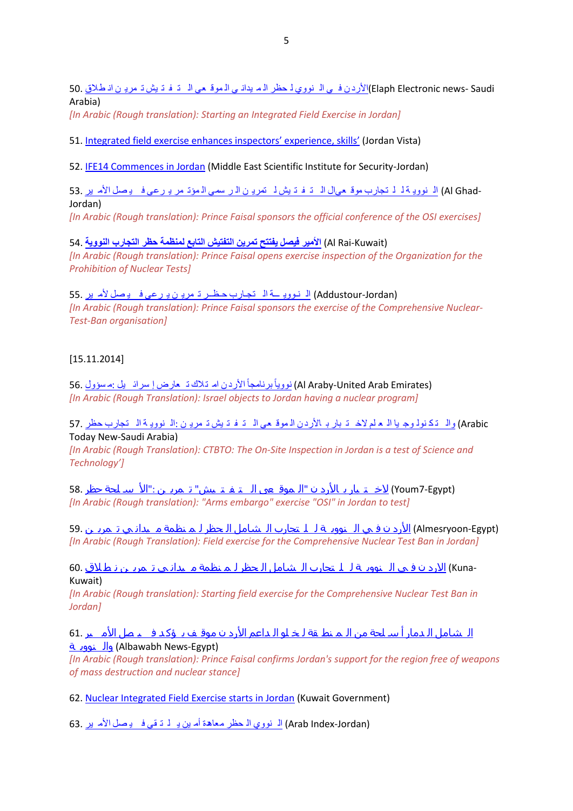Saudi -news Electronic Elaph(األرد ن ف ي ال نووي ل حظر ال م يدان ي ال موق عي ال ت ف ت يش ت مري ن ان [طالق](http://www.elaph.com/Web/News/2014/11/958556.html?entry=arab) 50. Arabia)

*[In Arabic (Rough translation): Starting an Integrated Field Exercise in Jordan]*

51. [Integrated field exercise enhances i](http://vista.sahafi.jo/art.php?id=bdb11f62b885446df820918b5c9314fc3deeff57)nspectors' experience, skills' (Jordan Vista)

52. [IFE14 Commences in Jordan](http://www.mesis.jo/news/320) (Middle East Scientific Institute for Security-Jordan)

-Al Ghad) <u>الـ نوويـة لـ لـ [تجارب](http://www.alghad.com/articles/836653-%D8%A7%D9%84%D8%A3%D9%85%D9%8A%D8%B1-%D9%81%D9%8A%D8%B5%D9%84-%D9%8A%D8%B1%D8%B9%D9%89-%D8%A7%D9%84%D9%85%D8%A4%D8%AA%D9%85%D8%B1-%D8%A7%D9%84%D8%B1%D8%B3%D9%85%D9%8A-%D9%84%D8%AA%D9%85%D8%B1%D9%8A%D9%86-%D8%A7%D9%84%D8%AA%D9%81%D8%AA%D9%8A%D8%B4-%D8%A7%D9%84%D9%85%D9%88%D9%82%D8%B9%D9%8A-%D9%84%D9%84%D8%AA%D8%AC%D8%A7%D8%B1%D8%A8-%D8%A7%D9%84%D9%86%D9%88%D9%88%D9%8A%D8%A9?s=bcb71abcd8500ba9a92deaf21b729410) موقـعـىال الـ تـ فـ تـ يش لـ تمريـ ن الـر سمى الـ مؤتـ مر يـ رعى فـ يـ صـل الأمـ ير</u><br>Jordan) *[In Arabic (Rough translation): Prince Faisal sponsors the official conference of the OSI exercises]*

[\(](http://www.alrai.com/article/681016.html)Kuwait-Rai Al (**[األمير فيصل يفتتح تمرين التفتيش التابع لمنظمة](http://www.alrai.com/article/681016.html) حظر التجارب النووية** 54. *[In Arabic (Rough translation): Prince Faisal opens exercise inspection of the Organization for the Prohibition of Nuclear Tests]*

(Addustour-Jordan) ال نووي ـــة ال تجارب حظــر تـ مريـ ن يـ رعى ف يـ صل لأم ير 55. *[In Arabic (Rough translation): Prince Faisal sponsors the exercise of the Comprehensive Nuclear-Test-Ban organisation]*

## [15.11.2014]

(Al Araby-United Arab Emirates) <u>نووياً بر</u>نامجاً الأردن ام تـلاك تــ مارض إ سرائــ يل :مـ سؤول .56 *[In Arabic (Rough Translation): Israel objects to Jordan having a nuclear program]*

Arabic (وال ت ك نول وج يا ال ع لم الخ ت بار ب األرد ن ال موق عي ال ت ف ت يش ت مري ن :ال نووي ة ال [تجارب](http://www.today-new.com/world/110309.html) حظر 57. Today New-Saudi Arabia)

*[In Arabic (Rough Translation): CTBTO: The On-Site Inspection in Jordan is a test of Science and Technology']*

(Egypt7-Youm (الخ ت بار ب [األرد](http://www1.youm7.com/story/2014/11/15/%D8%AD%D8%B8%D8%B1_%D8%A7%D9%84%D8%A3%D8%B3%D9%84%D8%AD%D8%A9__%D8%AA%D9%85%D8%B1%D9%8A%D9%86_%D8%A7%D9%84%D8%AA%D9%81%D8%AA%D9%8A%D8%B4_%D8%A7%D9%84%D9%85%D9%88%D9%82%D8%B9%D9%89_%D8%A8%D8%A7%D9%84%D8%A3%D8%B1%D8%AF%D9%86_%D9%84%D8%A7%D8%AE%D8%AA%D8%A8%D8%A7%D8%B1_%D8%A7%D9%84%D8%B9%D9%84%D9%85/1952372#.VGtAsvnF_1Y) ن "ال موق عى ال ت ف ت يش" ت مري ن :"األ س لحة حظر 58. *[In Arabic (Rough translation): "Arms embargo" exercise "OSI" in Jordan to test]*

(Almesryoon-Egypt) <u>الأرد ن ف ي ال نووي</u> ة لـ لـ تجارب الـ [شامل](http://almesryoon.com/%D8%B9%D8%B1%D8%A8-%D9%88-%D8%B9%D8%A7%D9%84%D9%85/596605-%D8%AA%D9%85%D8%B1%D9%8A%D9%86-%D9%85%D9%8A%D8%AF%D8%A7%D9%86%D9%8A-%D9%84%D9%85%D9%86%D8%B8%D9%85%D8%A9-%D8%A7%D9%84%D8%AD%D8%B8%D8%B1-%D8%A7%D9%84%D8%B4%D8%A7%D9%85%D9%84-%D9%84%D9%84%D8%AA%D8%AC%D8%A7%D8%B1%D8%A8-%D8%A7%D9%84%D9%86%D9%88%D9%88%D9%8A%D8%A9-%D9%81%D9%8A-%D8%A7%D9%84%D8%A3%D8%B1%D8%AF%D9%86) الـ <del>ح</del>ظر لـ مـ نظمة مـ يدانـي تـ مريـ ن 59. *[In Arabic (Rough Translation): Field exercise for the Comprehensive Nuclear Test Ban in Jordan]*

60. <u>الارد ن ف ي الـ نوويـة لـ لـ تجارب الـ [شامل](http://www.kuna.net.kw/ArticleDetails.aspx?id=2408680&language=ar) الـحظر لـم نظمة مـ يدانـي تـمريـن نـطـلاق </u>60.<br>Kuwait)

*[In Arabic (Rough translation): Starting field exercise for the Comprehensive Nuclear Test Ban in Jordan]*

ال [شامل](http://www.albawabhnews.com/901413) الـدمار أ سـ لح<u>ة من الـمـنط قة لـخـلو الـداعم الأرد ن موقـف يـ ؤكـد فــيـصل الأمــير</u> .61 (Egypt-News Albawabh (وال [نووي](http://www.albawabhnews.com/901413) ة

*[In Arabic (Rough translation): Prince Faisal confirms Jordan's support for the region free of weapons of mass destruction and nuclear stance]*

62. [Nuclear Integrated Field Exercise starts in Jordan](http://www.e.gov.kw/sites/KGOEnglish/Portal/Pages/KUNAMoreNews_ENG.aspx?NewsId=178211) (Kuwait Government)

(Jordan-Index Arab (ال نووي ال حظر [معاهدة](https://arbindex.com/C2b6s4) أم ين ي ل ت قي ف ي صل األم ير 63.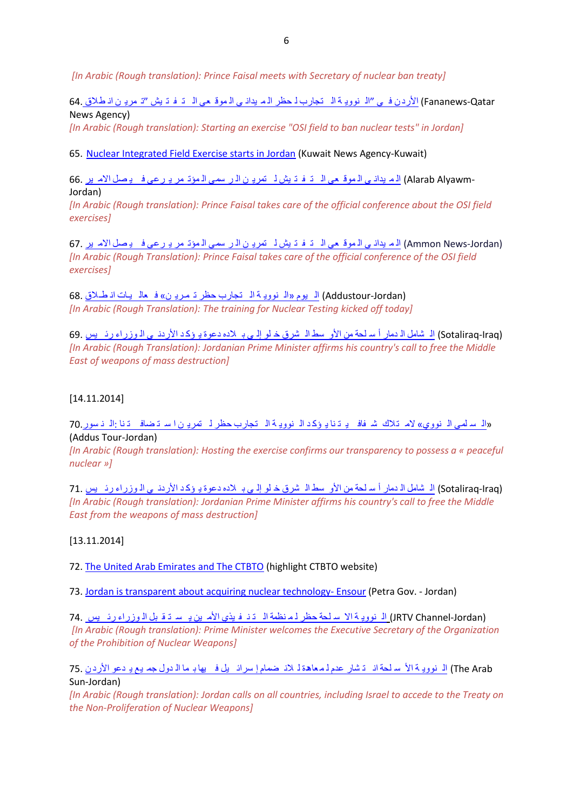*[In Arabic (Rough translation): Prince Faisal meets with Secretary of nuclear ban treaty]*

Fananews-Qatar) الأردن في "ال نووية الى [تجارب](http://www.fananews.com/قطر/1294880/) لـ حظر الرم يداني الرموق عي الى تـ فـ تـ يش "تـ مريـ ن انـ طـلاق .64 News Agency)

*[In Arabic (Rough translation): Starting an exercise "OSI field to ban nuclear tests" in Jordan]*

65. [Nuclear Integrated Field Exercise starts in Jordan](http://www.kuna.net.kw/ArticleDetails.aspx?id=2408683&language=en) (Kuwait News Agency-Kuwait)

-Alarab Alyawm) <u>اله يدان ي ال موق حي المت توش لم تمري ن المرسي المؤتمر يو رعي في يصل الأمرير</u><br>Jordan)

*[In Arabic (Rough translation): Prince Faisal takes care of the official conference about the OSI field exercises]*

(Ammon News-Jordan) الله يداني الموقعي الت فت يش ل تمرين الت سمي المؤتمر يو [رعى](http://www.ammonnews.net/article.aspx?articleno=211911) ف يصل الأمرين .67 *[In Arabic (Rough Translation): Prince Faisal takes care of the official conference of the OSI field exercises]*

(Jordan-Addustour (ال يوم «ال نووي ة ال [تجارب](https://www.addustour.com/17400/%D8%A7%D9%86%D8%B7%D9%80%D9%84%D8%A7%D9%82+%D9%81%D8%B9%D8%A7%D9%84%D9%8A%D9%80%D8%A7%D8%AA+%C2%AB%D8%AA%D9%85%D9%80%D8%B1%D9%8A%D9%86+%D8%AD%D8%B8%D8%B1+%D8%A7%D9%84%D8%AA%D8%AC%D8%A7%D8%B1%D8%A8+%D8%A7%D9%84%D9%86%D9%88%D9%88%D9%8A%D8%A9%C2%BB+%D8%A7%D9%84%D9%8A%D9%88%D9%85.html) حظر ت مـري ن» ف عال يـات ان طـالق 68. *[In Arabic (Rough Translation): The training for Nuclear Testing kicked off today]*

(Iraq-Sotaliraq (ال شامل ال دمار أ س لحة من األو سط ال شرق خ لو إل ى ب الده دعوة ي ؤك د األردن ي ال [وزراء](http://www.sotaliraq.com/middle-east.php?id=12486#axzz3J1DTKlQO) رئ يس 69. *[In Arabic (Rough Translation): Jordanian Prime Minister affirms his country's call to free the Middle East of weapons of mass destruction]*

## [14.11.2014]

«ال سلمي ال نووي» لام تلاك شرفاف يـ ت نا يوكد ال نوويـ ة ال [تجارب](https://www.addustour.com/17399/%D8%A7%D9%84%D9%86%D8%B3%D9%88%D8%B1%3A+%D8%A7%D8%B3%D8%AA%D8%B6%D8%A7%D9%81%D8%AA%D9%86%D8%A7+%D9%84%D8%AA%D9%85%D8%B1%D9%8A%D9%86+%D8%AD%D8%B8%D8%B1+%D8%A7%D9%84%D8%AA%D8%AC%D8%A7%D8%B1%D8%A8+%D8%A7%D9%84%D9%86%D9%88%D9%88%D9%8A%D8%A9+%D9%8A%D8%A4%D9%83%D8%AF+%D8%B4%D9%81%D8%A7%D9%81%D9%8A%D8%AA%D9%86%D8%A7+%D9%84%D8%A7%D9%85%D8%AA%D9%84%D8%A7%D9%83+%C2%AB%D8%A7%D9%84%D9%86%D9%88%D9%88%D9%8A+%D8%A7%D9%84%D8%B3%D9%84%D9%85%D9%8A%C2%BB.html) حظر لـ تمريـ ن است تضاف تنا :الـ ن سور 70 (Addus Tour-Jordan)

*[In Arabic (Rough translation): Hosting the exercise confirms our transparency to possess a « peaceful nuclear »]*

(Iraq-Sotaliraq (ال شامل ال دمار أ س لحة من األو سط ال شرق خ لو إل ى ب الده دعوة ي ؤك د األردن ي ال [وزراء](http://www.sotaliraq.com/middle-east.php?id=12486#axzz3J1DTKlQO) رئ يس 71. *[In Arabic (Rough translation): Jordanian Prime Minister affirms his country's call to free the Middle East from the weapons of mass destruction]*

[13.11.2014]

72. [The United Arab Emirates and The CTBTO](http://www.ctbto.org/press-centre/highlights/2014/the-united-arab-emirates-and-the-ctbto/) (highlight CTBTO website)

73. [Jordan is transparent about acquiring nuclear technology-](http://petra.gov.jo/Public_News/Nws_NewsDetails.aspx?Site_Id=1&lang=2&NewsID=172265&CatID=13&Type=Home>ype=1) Ensour (Petra Gov. - Jordan)

(Jordan-Channel JRTV (ال نووي ة اال س لحة حظر ل م نظمة ال ت ن ف يذي األم ين ي س ت ق بل ال [وزراء](https://www.youtube.com/watch?v=gI0sFJ5AZtc&feature=youtu.be) رئ يس 74. *[In Arabic (Rough translation): Prime Minister welcomes the Executive Secretary of the Organization of the Prohibition of Nuclear Weapons]*

 Arab The (ال نووي ة األ س لحة ان ت شار عدم ل [معاهدة](http://arab-sun.com/2014/11/13/54459/) ل الن ضمام إ سرائ يل ف يها ب ما ال دول جم يع ي دعو األرد ن 75. Sun-Jordan)

*[In Arabic (Rough translation): Jordan calls on all countries, including Israel to accede to the Treaty on the Non-Proliferation of Nuclear Weapons]*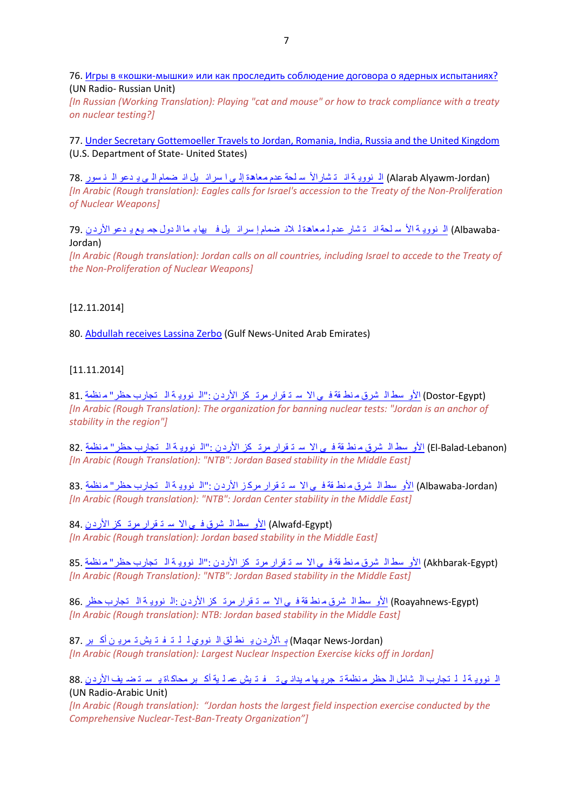76. Игры в «кошки-[мышки» или как проследить соблюдение договора о ядерных испытаниях?](http://www.unmultimedia.org/radio/russian/archives/179527/#.VGUV-cntiLw) (UN Radio- Russian Unit)

*[In Russian (Working Translation): Playing "cat and mouse" or how to track compliance with a treaty on nuclear testing?]*

77. [Under Secretary Gottemoeller Travels to Jordan, Romania, India, Russia and the United Kingdom](http://www.state.gov/r/pa/prs/ps/2014/11/234034.htm) (U.S. Department of State- United States)

(Jordan-Alyawm Alarab (ال نووي ة ان ت شاراأل س لحة عدم [معاهدة](http://alarabalyawm.net/?p=403779) إل ى ا سرائ يل ان ضمام ال ى ي دعو ال ن سور 78. *[In Arabic (Rough translation): Eagles calls for Israel's accession to the Treaty of the Non-Proliferation of Nuclear Weapons]*

79. <u>ال نووي</u> ة الأس لحة ان ت شار عدم لـ[معاهدة](http://www.albawabhnews.com/898526) لـ لانـ ضمام إ سرائـ يل فـ يها بـ ما الـ دول جمـ يـم يـ دعو الأرد ن<br>Jordan)

*[In Arabic (Rough translation): Jordan calls on all countries, including Israel to accede to the Treaty of the Non-Proliferation of Nuclear Weapons]*

### [12.11.2014]

80. [Abdullah receives Lassina Zerbo](http://gulfnews.com/news/gulf/uae/government/abdullah-receives-lassina-zerbo-1.1411666) (Gulf News-United Arab Emirates)

### [11.11.2014]

(Egypt-Dostor (األو سط ال شرق م نط قة ف ي اال س ت قرار مرت كز األرد ن :"ال نووي ة ال [تجارب](http://www.dostor.org/711808) حظر" م نظمة 81. *[In Arabic (Rough Translation): The organization for banning nuclear tests: "Jordan is an anchor of stability in the region"]*

(El-Balad-Lebanon) <u>الأو سط الـ شرق م نط قة فـ ي الا سـ تـ قرار مرتـ كز الأرد ن :"الـ نوويـ ة الـ [تجارب](http://www.el-balad.com/1240577) حظر" مـنظمة 8</u>2. *[In Arabic (Rough Translation): "NTB": Jordan Based stability in the Middle East]* 

(Albawaba-Jordan) الأو سط ال شرق م نط قة في الا سـ تـ قرار مركـز الأردن :"الـ نوويـ ة الـ [تجارب](http://www.albawabhnews.com/895133) حظر" م نظمة .83 *[In Arabic (Rough translation): "NTB": Jordan Center stability in the Middle East]*

(Egypt-Alwafd (األو سط ال [شرق](http://www.alwafd.org/%D8%B9%D8%A7%D9%84%D9%85%D9%80%D9%8A/768283-%D8%A7%D9%84%D8%A3%D8%B1%D8%AF%D9%86-%D9%85%D8%B1%D8%AA%D9%83%D8%B2-%D8%A7%D9%84%D8%A7%D8%B3%D8%AA%D9%82%D8%B1%D8%A7%D8%B1-%D9%81%D9%8A-%D8%A7%D9%84%D8%B4%D8%B1%D9%82-%D8%A7%D9%84%D8%A3%D9%88%D8%B3%D8%B7) ف ي اال س ت قرار مرت كز األرد ن 84. *[In Arabic (Rough translation): Jordan based stability in the Middle East]*

(Egypt-Akhbarak (األو سط ال شرق م نط قة ف ي اال س ت قرار مرت كز األرد ن :"ال نووي ة ال [تجارب](http://www.akhbarak.net/articles/16847225-%D9%85%D9%86%D8%B8%D9%85%D8%A9_) حظر" م نظمة 85. *[In Arabic (Rough Translation): "NTB": Jordan Based stability in the Middle East]*

(Egypt-Roayahnews (األو سط ال شرق م نط قة ف ي اال س ت قرار مرت كز األرد ن :ال نووي ة ال [تجارب](http://www.roayahnews.com/%D8%AD%D8%B8%D8%B1-%D8%A7%D9%84%D8%AA%D8%AC%D8%A7%D8%B1%D8%A8-%D8%A7%D9%84%D9%86%D9%88%D9%88%D9%8A%D8%A9-%D8%A7%D9%84%D8%A3%D8%B1%D8%AF%D9%86-%D9%85%D8%B1%D8%AA%D9%83%D8%B2-%D8%A7%D9%84%D8%A5%D8%B3/11-723199.html) حظر 86. *[In Arabic (Rough translation): NTB: Jordan based stability in the Middle East]*

 (Jordan-News Maqar (ب األرد ن ي نط لق ال [نووي](http://maqar.com/?id=69815) ل ل ت ف ت يش ت مري ن أك بر 87. *[In Arabic (Rough translation): Largest Nuclear Inspection Exercise kicks off in Jordan]*

ال نووي ة ل ل [تجارب](http://www.unmultimedia.org/arabic/radio/archives/152302/#.VGEUsvnF8gU) ال شامل ال حظر م نظمة ت جري ها م يدان ي ت ف ت يش عم ل ية أك بر محاكاة ي س ت ض يف األرد ن 88. (UN Radio-Arabic Unit)

*[In Arabic (Rough translation): "Jordan hosts the largest field inspection exercise conducted by the Comprehensive Nuclear-Test-Ban-Treaty Organization"]*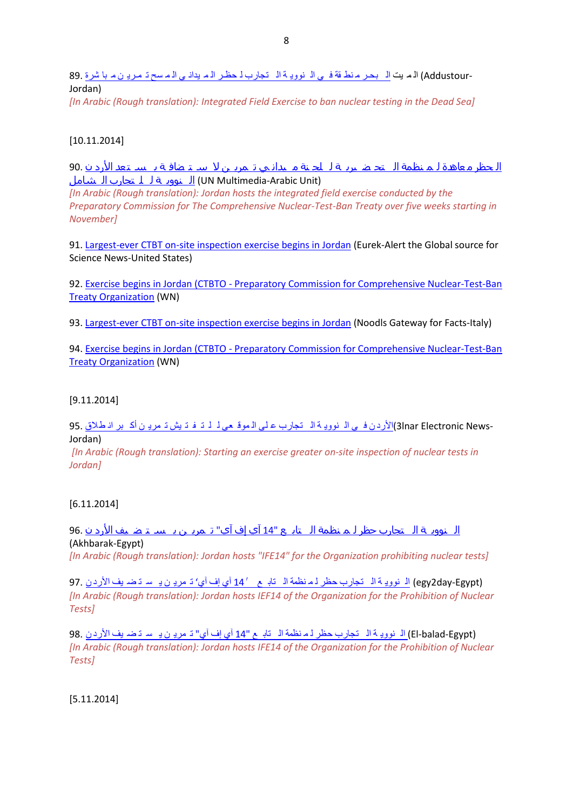-Addustour) الم يت <u>الم بحر م نط قة في ال نوويـة الم [تجارب](http://www.addustour.com/17402/%D9%85%D8%A8%D8%A7%D8%B4%D8%B1%D8%A9+%D8%AA%D9%85%D9%80%D8%B1%D9%8A%D9%86+%D8%A7%D9%84%D9%85%D8%B3%D8%AD+%D8%A7%D9%84%D9%85%D9%8A%D8%AF%D8%A7%D9%86%D9%8A+%D9%84%D8%AD%D8%B8%D9%80%D8%B1+%D8%A7%D9%84%D8%AA%D8%AC%D8%A7%D8%B1%D8%A8+%D8%A7%D9%84%D9%86%D9%88%D9%88%D9%8A%D8%A9+%D9%81%D9%8A+%D9%85%D9%86%D8%B7%D9%82%D8%A9+%D8%A7%D9%84%D8%A8%D8%AD%D9%80%D8%B1+%D8%A7%D9%84%D9%85%D9%8A%D8%AA.html) لـ حظـر الـم يدانـي الـمـ سح تـ مـريـ ن مـ با شرة</u><br>Jordan)

*[In Arabic (Rough translation): Integrated Field Exercise to ban nuclear testing in the Dead Sea]* 

## [10.11.2014]

ال حظر م [عاهدة](http://www.unmultimedia.org/arabic/radio/archives/151130/#.VFdeY_nF_1Z) ل م نظمة ال تح ض يري ة ل لج نة م يدان ي ت مري ن ال س ت ضاف ة ي س ت عد األرد ن 90. (Unit Arabic-Multimedia UN (ال نووي ة ل ل تجارب ال [شامل](http://www.unmultimedia.org/arabic/radio/archives/151130/#.VFdeY_nF_1Z)

*[In Arabic (Rough translation): Jordan hosts the integrated field exercise conducted by the Preparatory Commission for The Comprehensive Nuclear-Test-Ban Treaty over five weeks starting in November]*

91[. Largest-ever CTBT on-site inspection exercise begins in Jordan](http://www.eurekalert.org/pub_releases/2014-11/pcft-lco111014.php) (Eurek-Alert the Global source for Science News-United States)

92. Exercise begins in Jordan (CTBTO - [Preparatory Commission for Comprehensive Nuclear-Test-Ban](http://article.wn.com/view/2014/11/10/Largestever_CTBT_onsite_inspection_exercise_begins_in_Jordan/)  [Treaty Organization](http://article.wn.com/view/2014/11/10/Largestever_CTBT_onsite_inspection_exercise_begins_in_Jordan/) (WN)

93[. Largest-ever CTBT on-site inspection exercise begins in Jordan](http://www.noodls.com/viewNoodl/25781182/ctbto---preparatory-commission-for-comprehensive-nuclear-tes/largest-ever-ctbt-on-site-inspection-exercise-begins-in-jord) (Noodls Gateway for Facts-Italy)

94. Exercise begins in Jordan (CTBTO - [Preparatory Commission for Comprehensive Nuclear-Test-Ban](http://article.wn.com/view/2014/11/10/Largestever_CTBT_onsite_inspection_exercise_begins_in_Jordan/)  [Treaty Organization](http://article.wn.com/view/2014/11/10/Largestever_CTBT_onsite_inspection_exercise_begins_in_Jordan/) (WN)

### [9.11.2014]

-3Inar Electronic News)ا<u>لأرد ن ف ي ال نووي</u> ة ال [تجارب](http://3lnar.com/انطلاق-أكبر-تمرين-للتفتيش-الموقعي-على/) ع ل*ى* الـموقـع*ي لـ لـ تـ فـ تـ يش تـ مر*يـ ن أكـ بر انـ طلاق .<br>Jordan)

*[In Arabic (Rough translation): Starting an exercise greater on-site inspection of nuclear tests in Jordan]*

### [6.11.2014]

ال نووي ة ال [تجارب](http://www.akhbarak.net/articles/16806690-%D8%A7%D9%84%D8%A3%D8%B1%D8%AF%D9%86_%D9%8A%D8%B3%D8%AA%D8%B6%D9%8A%D9%81_%D8%AA%D9%85%D8%B1%D9%8A%D9%86_%27%D8%A2%D9%8A_%D8%A5%D9%81_%D8%A2%D9%8A_14) حظر ل م نظمة ال تاب ع "14 آي إف آي" ت مري ن ي س ت ض يف األرد ن 96. (Akhbarak-Egypt)

*[In Arabic (Rough translation): Jordan hosts "IFE14" for the Organization prohibiting nuclear tests]*

(Egypt-day2egy (ال نووي ة ال [تجارب](http://egy2day.com/?p=103343) حظر ل م نظمة ال تاب ع 14′ آي إف آي' ت مري ن ي س ت ض يف األرد ن 97. *[In Arabic (Rough translation): Jordan hosts IEF14 of the Organization for the Prohibition of Nuclear Tests]*

(Egypt-balad-El (ال نووي ة ال [تجارب](http://www.el-balad.com/1232533) حظر ل م نظمة ال تاب ع "14 آي إف آي" ت مري ن ي س ت ض يف األرد ن 98. *[In Arabic (Rough translation): Jordan hosts IFE14 of the Organization for the Prohibition of Nuclear Tests]*

[5.11.2014]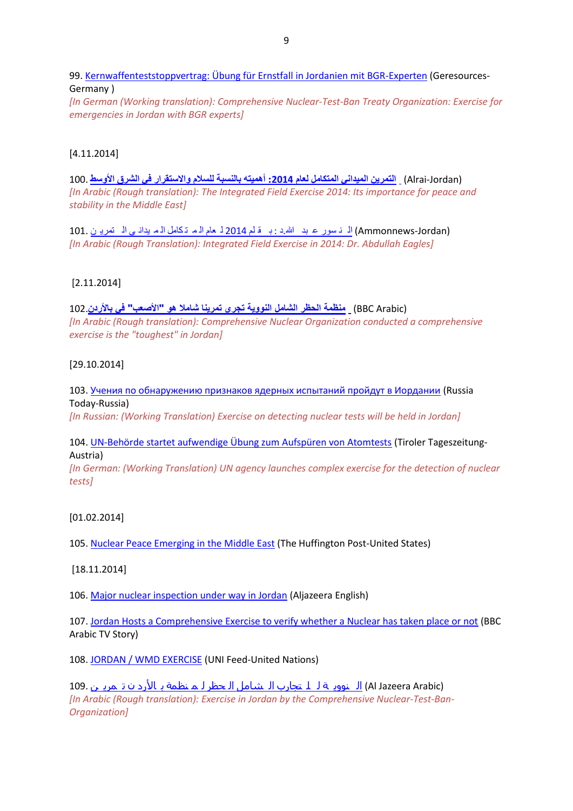99. [Kernwaffenteststoppvertrag: Übung für Ernstfall in Jordanien mit BGR-Experten](http://www.georesources.net/index.php/german-news/itemlist/tag/CTBT) (Geresources-Germany )

*[In German (Working translation): Comprehensive Nuclear-Test-Ban Treaty Organization: Exercise for emergencies in Jordan with BGR experts]*

### [4.11.2014]

(Jordan-Alrai (**[التمرين الميداني المتكامل لعام :](http://www.alrai.com/article/678638.html)2014 أهميته بالنسبة للسالم واالستقرار في الشرق األوسط** 100. *[In Arabic (Rough translation): The Integrated Field Exercise 2014: Its importance for peace and stability in the Middle East]*

(Ammonnews-Jordan) ال ن سور ع بد الله.د : ب قلم [2014](http://www.ammonnews.net/article.aspx?articleno=210702) لم عام الم ت كامل الم يداني ال تمرين .101 *[In Arabic (Rough Translation): Integrated Field Exercise in 2014: Dr. Abdullah Eagles]*

### [2.11.2014]

### (Arabic BBC (**[منظمة الحظر الشامل النووية تجري تمرينا شامال هو "األصعب" في باألردن](http://senaranews.com/index.php/jordan-news/24556---------qq-)**102.

*[In Arabic (Rough translation): Comprehensive Nuclear Organization conducted a comprehensive exercise is the "toughest" in Jordan]*

### [29.10.2014]

103. [Учения по обнаружению признаков ядерных испытаний пройдут в Иордании](http://ria.ru/world/20141029/1030830645.html) (Russia Today-Russia) *[In Russian: (Working Translation) Exercise on detecting nuclear tests will be held in Jordan]*

104. [UN-Behörde startet aufwendige Übung zum Aufspüren von Atomtests](http://www.tt.com/home/9180868-91/un-beh%C3%B6rde-startet-aufwendige-%C3%BCbung-zum-aufsp%C3%BCren-von-atomtests.csp) (Tiroler Tageszeitung-Austria)

*[In German: (Working Translation) UN agency launches complex exercise for the detection of nuclear tests]*

#### [01.02.2014]

105. [Nuclear Peace Emerging in the Middle East](http://www.huffingtonpost.com/william-lambers/nuclear-peace-middle-east_b_4485847.html) (The Huffington Post-United States)

#### [18.11.2014]

106. [Major nuclear inspection under way in Jordan](http://www.aljazeera.com/video/americas/2014/11/major-nuclear-inspection-under-way-jordan-20141117103757770673.html) (Aljazeera English)

107. [Jordan Hosts a Comprehensive Exercise to verify whether a Nuclear has taken place or not](https://www.youtube.com/watch?v=4x0j04ewRmE&feature=youtu.be) (BBC Arabic TV Story)

108. [JORDAN / WMD EXERCISE](http://www.unmultimedia.org/tv/unifeed/2014/11/jordan-wmd-exercise/) (UNI Feed-United Nations)

(Arabic Jazeera Al (ال نووي ة ل ل تجارب ال [شامل](https://www.youtube.com/watch?v=XRMYVjwZLP8&list=UUfiwzLy-8yKzIbsmZTzxDgw) ال حظر ل م نظمة ب األرد ن ت مري ن 109. *[In Arabic (Rough translation): Exercise in Jordan by the Comprehensive Nuclear-Test-Ban-Organization]*